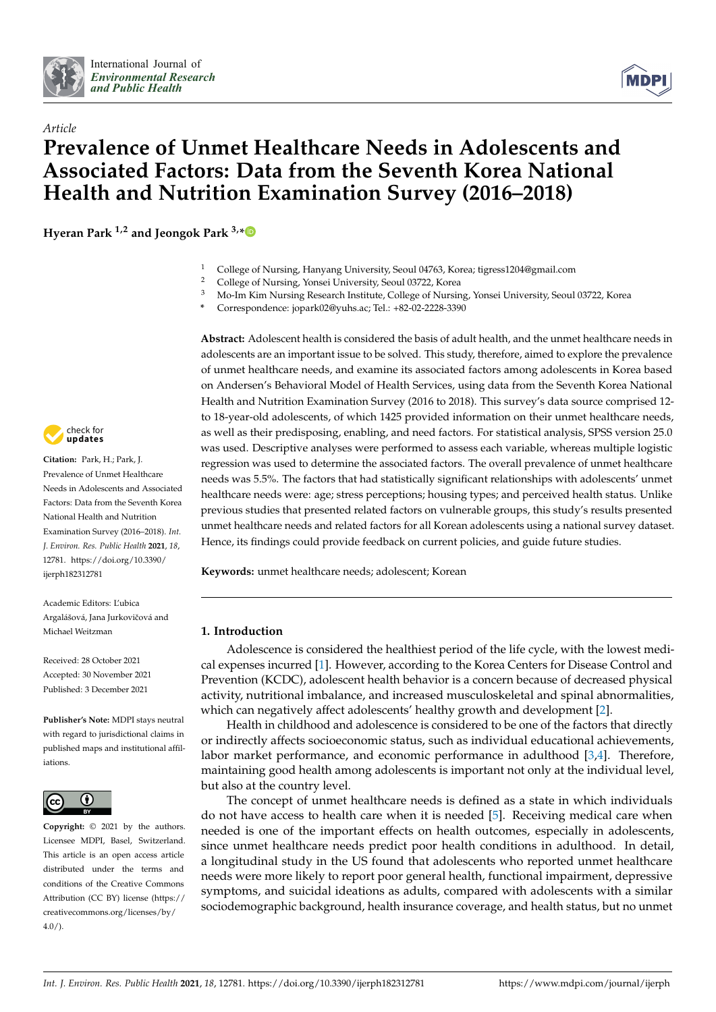



# *Article* **Prevalence of Unmet Healthcare Needs in Adolescents and Associated Factors: Data from the Seventh Korea National Health and Nutrition Examination Survey (2016–2018)**

**Hyeran Park 1,2 and Jeongok Park 3,[\\*](https://orcid.org/0000-0003-4978-817X)**

- <sup>1</sup> College of Nursing, Hanyang University, Seoul 04763, Korea; tigress1204@gmail.com
- 2 College of Nursing, Yonsei University, Seoul 03722, Korea<br>
<sup>3</sup> Me Im *Vim Nursing Besearsh Institute* College of Nursin
- <sup>3</sup> Mo-Im Kim Nursing Research Institute, College of Nursing, Yonsei University, Seoul 03722, Korea
- **\*** Correspondence: jopark02@yuhs.ac; Tel.: +82-02-2228-3390

**Abstract:** Adolescent health is considered the basis of adult health, and the unmet healthcare needs in adolescents are an important issue to be solved. This study, therefore, aimed to explore the prevalence of unmet healthcare needs, and examine its associated factors among adolescents in Korea based on Andersen's Behavioral Model of Health Services, using data from the Seventh Korea National Health and Nutrition Examination Survey (2016 to 2018). This survey's data source comprised 12 to 18-year-old adolescents, of which 1425 provided information on their unmet healthcare needs, as well as their predisposing, enabling, and need factors. For statistical analysis, SPSS version 25.0 was used. Descriptive analyses were performed to assess each variable, whereas multiple logistic regression was used to determine the associated factors. The overall prevalence of unmet healthcare needs was 5.5%. The factors that had statistically significant relationships with adolescents' unmet healthcare needs were: age; stress perceptions; housing types; and perceived health status. Unlike previous studies that presented related factors on vulnerable groups, this study's results presented unmet healthcare needs and related factors for all Korean adolescents using a national survey dataset. Hence, its findings could provide feedback on current policies, and guide future studies.

**Keywords:** unmet healthcare needs; adolescent; Korean

# **1. Introduction**

Adolescence is considered the healthiest period of the life cycle, with the lowest medical expenses incurred [\[1\]](#page-9-0). However, according to the Korea Centers for Disease Control and Prevention (KCDC), adolescent health behavior is a concern because of decreased physical activity, nutritional imbalance, and increased musculoskeletal and spinal abnormalities, which can negatively affect adolescents' healthy growth and development [\[2\]](#page-9-1).

Health in childhood and adolescence is considered to be one of the factors that directly or indirectly affects socioeconomic status, such as individual educational achievements, labor market performance, and economic performance in adulthood [\[3](#page-9-2)[,4\]](#page-9-3). Therefore, maintaining good health among adolescents is important not only at the individual level, but also at the country level.

The concept of unmet healthcare needs is defined as a state in which individuals do not have access to health care when it is needed [\[5\]](#page-9-4). Receiving medical care when needed is one of the important effects on health outcomes, especially in adolescents, since unmet healthcare needs predict poor health conditions in adulthood. In detail, a longitudinal study in the US found that adolescents who reported unmet healthcare needs were more likely to report poor general health, functional impairment, depressive symptoms, and suicidal ideations as adults, compared with adolescents with a similar sociodemographic background, health insurance coverage, and health status, but no unmet



**Citation:** Park, H.; Park, J. Prevalence of Unmet Healthcare Needs in Adolescents and Associated Factors: Data from the Seventh Korea National Health and Nutrition Examination Survey (2016–2018). *Int. J. Environ. Res. Public Health* **2021**, *18*, 12781. [https://doi.org/10.3390/](https://doi.org/10.3390/ijerph182312781) [ijerph182312781](https://doi.org/10.3390/ijerph182312781)

Academic Editors: L'ubica Argalášová, Jana Jurkovičová and Michael Weitzman

Received: 28 October 2021 Accepted: 30 November 2021 Published: 3 December 2021

**Publisher's Note:** MDPI stays neutral with regard to jurisdictional claims in published maps and institutional affiliations.



**Copyright:** © 2021 by the authors. Licensee MDPI, Basel, Switzerland. This article is an open access article distributed under the terms and conditions of the Creative Commons Attribution (CC BY) license (https:/[/](https://creativecommons.org/licenses/by/4.0/) [creativecommons.org/licenses/by/](https://creativecommons.org/licenses/by/4.0/)  $4.0/$ ).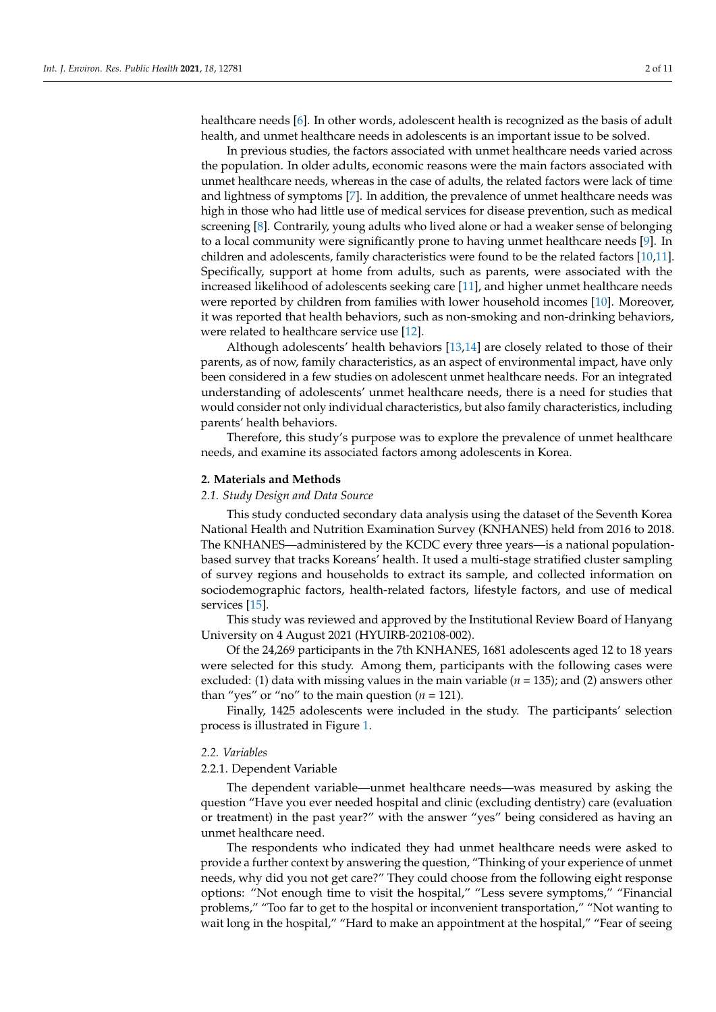healthcare needs [\[6\]](#page-9-5). In other words, adolescent health is recognized as the basis of adult health, and unmet healthcare needs in adolescents is an important issue to be solved.

In previous studies, the factors associated with unmet healthcare needs varied across the population. In older adults, economic reasons were the main factors associated with unmet healthcare needs, whereas in the case of adults, the related factors were lack of time and lightness of symptoms [\[7\]](#page-9-6). In addition, the prevalence of unmet healthcare needs was high in those who had little use of medical services for disease prevention, such as medical screening [\[8\]](#page-9-7). Contrarily, young adults who lived alone or had a weaker sense of belonging to a local community were significantly prone to having unmet healthcare needs [\[9\]](#page-9-8). In children and adolescents, family characteristics were found to be the related factors [\[10](#page-9-9)[,11\]](#page-9-10). Specifically, support at home from adults, such as parents, were associated with the increased likelihood of adolescents seeking care [\[11\]](#page-9-10), and higher unmet healthcare needs were reported by children from families with lower household incomes [\[10\]](#page-9-9). Moreover, it was reported that health behaviors, such as non-smoking and non-drinking behaviors, were related to healthcare service use [\[12\]](#page-9-11).

Although adolescents' health behaviors [\[13,](#page-9-12)[14\]](#page-9-13) are closely related to those of their parents, as of now, family characteristics, as an aspect of environmental impact, have only been considered in a few studies on adolescent unmet healthcare needs. For an integrated understanding of adolescents' unmet healthcare needs, there is a need for studies that would consider not only individual characteristics, but also family characteristics, including parents' health behaviors.

Therefore, this study's purpose was to explore the prevalence of unmet healthcare needs, and examine its associated factors among adolescents in Korea.

# **2. Materials and Methods**

## *2.1. Study Design and Data Source*

This study conducted secondary data analysis using the dataset of the Seventh Korea National Health and Nutrition Examination Survey (KNHANES) held from 2016 to 2018. The KNHANES—administered by the KCDC every three years—is a national populationbased survey that tracks Koreans' health. It used a multi-stage stratified cluster sampling of survey regions and households to extract its sample, and collected information on sociodemographic factors, health-related factors, lifestyle factors, and use of medical services [\[15\]](#page-9-14).

This study was reviewed and approved by the Institutional Review Board of Hanyang University on 4 August 2021 (HYUIRB-202108-002).

Of the 24,269 participants in the 7th KNHANES, 1681 adolescents aged 12 to 18 years were selected for this study. Among them, participants with the following cases were excluded: (1) data with missing values in the main variable (*n* = 135); and (2) answers other than "yes" or "no" to the main question  $(n = 121)$ .

Finally, 1425 adolescents were included in the study. The participants' selection process is illustrated in Figure [1.](#page-2-0)

## *2.2. Variables*

# 2.2.1. Dependent Variable

The dependent variable—unmet healthcare needs—was measured by asking the question "Have you ever needed hospital and clinic (excluding dentistry) care (evaluation or treatment) in the past year?" with the answer "yes" being considered as having an unmet healthcare need.

The respondents who indicated they had unmet healthcare needs were asked to provide a further context by answering the question, "Thinking of your experience of unmet needs, why did you not get care?" They could choose from the following eight response options: "Not enough time to visit the hospital," "Less severe symptoms," "Financial problems," "Too far to get to the hospital or inconvenient transportation," "Not wanting to wait long in the hospital," "Hard to make an appointment at the hospital," "Fear of seeing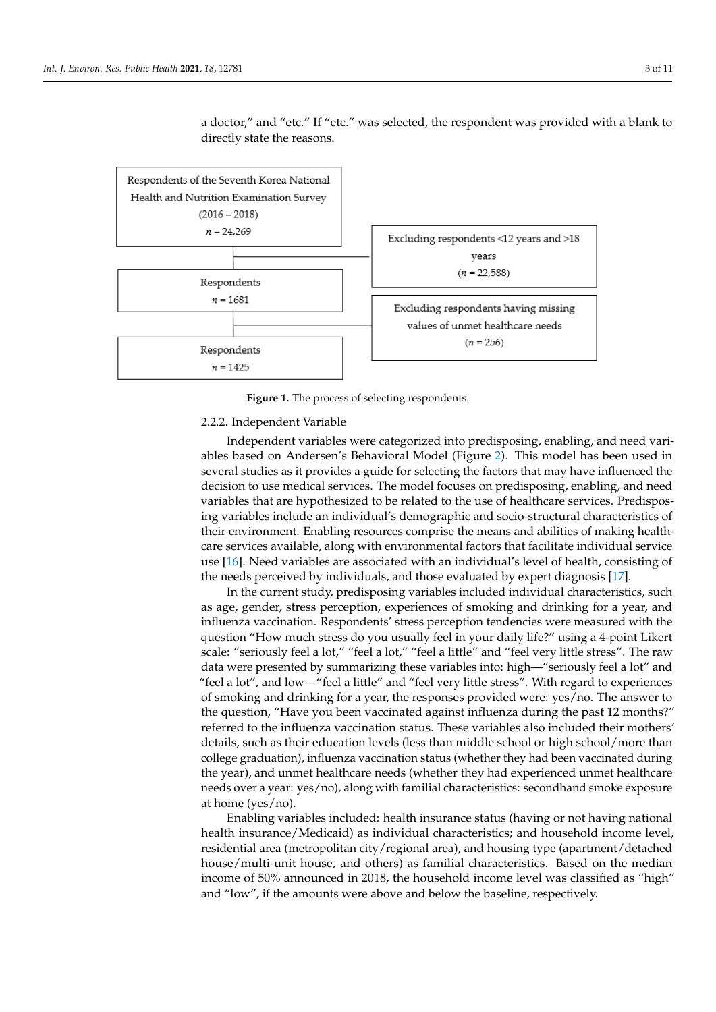<span id="page-2-0"></span>

a doctor," and "etc." If "etc." was selected, the respondent was provided with a blank to directly state the reasons.

**Figure 1.** The process of selecting respondents. **Figure 1.** The process of selecting respondents.

### 2.2.2. Independent Variable

 $\frac{1}{2}$ Several studies as it provides a guide for selecting the factors that may have influenced the decision to use medical services. The model focuses on predisposing, enabling, and need variables that are hypothesized to be related to the use of healthcare services. Predisposing variables include an individual's demographic and socio-structural characteristics of their environment. Enabling resources comprise the means and abilities of making healthcare services available, along with environmental factors that facilitate individual service use [\[16\]](#page-9-15). Need variables are associated with an individual's level of health, consisting of the needs perceived by individuals, and those evaluated by expert diagnosis [\[17\]](#page-9-16). Independent variables were categorized into predisposing, enabling, and need variables based on Andersen's Behavioral Model (Figure [2\)](#page-3-0). This model has been used in

In the current study, predisposing variables included individual characteristics, such as age, gender, stress perception, experiences of smoking and drinking for a year, and influenza vaccination. Respondents' stress perception tendencies were measured with the question "How much stress do you usually feel in your daily life?" using a 4-point Likert data were presented by summarizing these variables into: high—"seriously feel a lot" and "feel a lot", and low—"feel a little" and "feel very little stress". With regard to experiences of smoking and drinking for a year, the responses provided were: yes/no. The answer to the question, "Have you been vaccinated against influenza during the past 12 months?" referred to the influenza vaccination status. These variables also included their mothers' details, such as their education levels (less than middle school or high school/more than college graduation), influenza vaccination status (whether they had been vaccinated during the year), and unmet healthcare needs (whether they had experienced unmet healthcare needs over a year: yes/no), along with familial characteristics: secondhand smoke exposure at home (yes/no). scale: "seriously feel a lot," "feel a lot," "feel a little" and "feel very little stress". The raw

Enabling variables included: health insurance status (having or not having national health insurance/Medicaid) as individual characteristics; and household income level, residential area (metropolitan city/regional area), and housing type (apartment/detached house/multi-unit house, and others) as familial characteristics. Based on the median income of 50% announced in 2018, the household income level was classified as "high" and "low", if the amounts were above and below the baseline, respectively.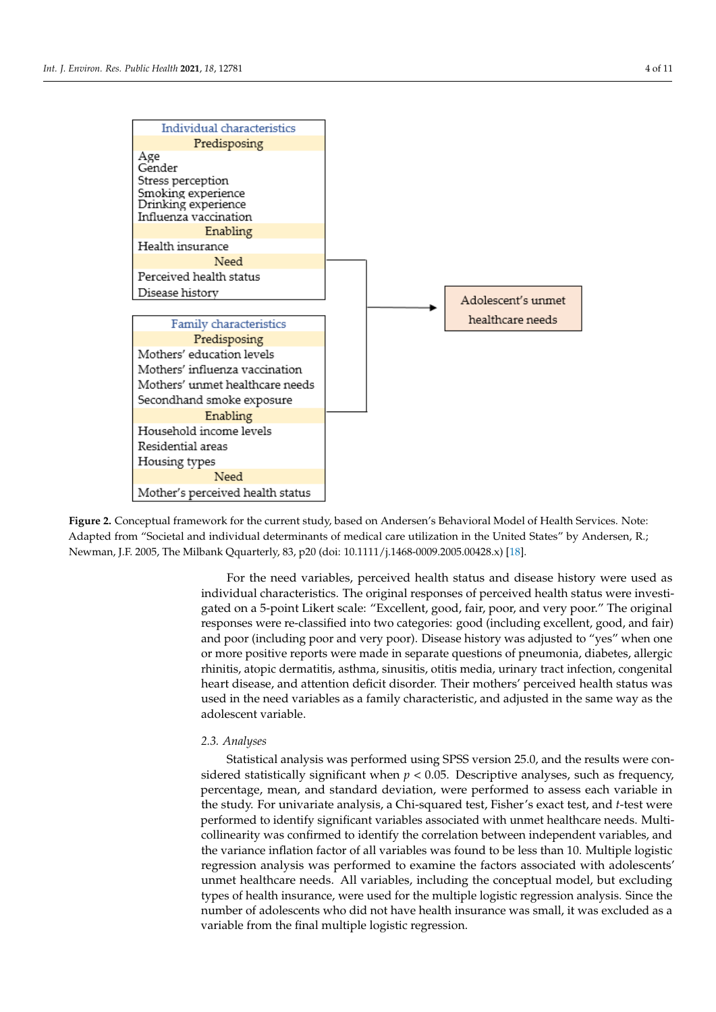<span id="page-3-0"></span>

Figure 2. Conceptual framework for the current study, based on Andersen's Behavioral Model of Health Services. Note: Adapted from "Societal and individual determinants of medical care utilization in the United States" by Andersen, R.; Newman, J.F. 2005, The Milbank Qquarterly, 83, p20 (doi: 10.1111/j.1468-0009.2005.00428.x) [\[18\]](#page-9-17).

individual characteristics. The original responses of perceived health status were investigated on a 5-point Likert scale: "Excellent, good, fair, poor, and very poor." The original responses were re-classified into two categories: good (including excellent, good, and fair) and poor (including poor and very poor). Disease history was adjusted to "yes" when one or more positive reports were made in separate questions of pneumonia, diabetes, allergic rhinitis, atopic dermatitis, asthma, sinusitis, otitis media, urinary tract infection, congenital heart disease, and attention deficit disorder. Their mothers' perceived health status was used in the need variables as a family characteristic, and adjusted in the same way as the adolescent variable.  $\mathcal{L}$  months in fluenza during the past 12 months. The past 12 months 12 months. The past 12 months 12 months. The past 12 months 12 months. The past 12 months 12 months. The past 12 months 12 month For the need variables, perceived health status and disease history were used as

#### referred to the influenza vaccination status. These variables also included their mothers'  $\Delta$ . S. Antityses *2.3. Analyses*

Statistical analysis was performed using SPSS version 25.0, and the results were considered statistically significant when  $p < 0.05$ . Descriptive analyses, such as frequency, percentage, mean, and standard deviation, were performed to assess each variable in the study. For univariate analysis, a Chi-squared test, Fisher's exact test, and *t*-test were performed to identify significant variables associated with unmet healthcare needs. Multicollinearity was confirmed to identify the correlation between independent variables, and the variance inflation factor of all variables was found to be less than 10. Multiple logistic regression analysis was performed to examine the factors associated with adolescents' unmet healthcare needs. All variables, including the conceptual model, but excluding types of health insurance, were used for the multiple logistic regression analysis. Since the number of adolescents who did not have health insurance was small, it was excluded as a variable from the final multiple logistic regression.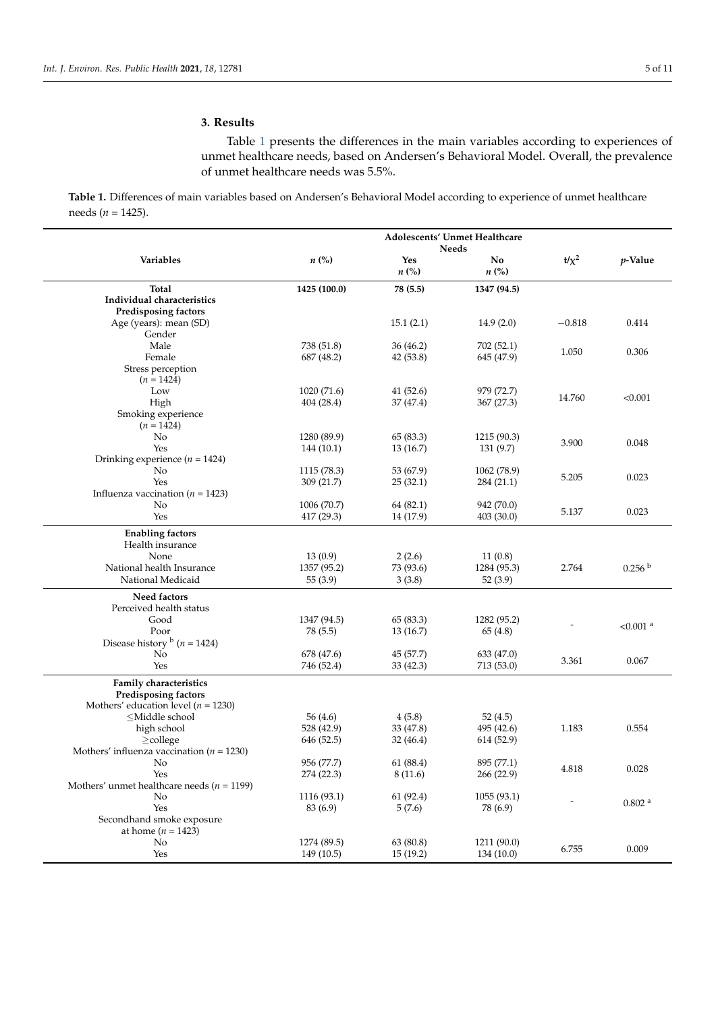# **3. Results**

Table [1](#page-4-0) presents the differences in the main variables according to experiences of unmet healthcare needs, based on Andersen's Behavioral Model. Overall, the prevalence of unmet healthcare needs was 5.5%.

<span id="page-4-0"></span>**Table 1.** Differences of main variables based on Andersen's Behavioral Model according to experience of unmet healthcare needs (*n* = 1425).

|                                                                                                                                                      | Adolescents' Unmet Healthcare<br><b>Needs</b> |                                  |                          |           |                        |
|------------------------------------------------------------------------------------------------------------------------------------------------------|-----------------------------------------------|----------------------------------|--------------------------|-----------|------------------------|
| Variables                                                                                                                                            | $n\left(\%\right)$                            | <b>Yes</b><br>$n\left(\%\right)$ | No<br>$n\left(\%\right)$ | $t/x^2$   | $p$ -Value             |
| <b>Total</b>                                                                                                                                         | 1425 (100.0)                                  | 78 (5.5)                         | 1347 (94.5)              |           |                        |
| Individual characteristics                                                                                                                           |                                               |                                  |                          |           |                        |
| Predisposing factors                                                                                                                                 |                                               |                                  |                          |           |                        |
| Age (years): mean (SD)                                                                                                                               |                                               | 15.1(2.1)                        | 14.9(2.0)                | $-0.818$  | 0.414                  |
| Gender                                                                                                                                               |                                               |                                  |                          |           |                        |
| Male                                                                                                                                                 | 738 (51.8)                                    | 36(46.2)                         | 702 (52.1)               |           |                        |
| Female                                                                                                                                               | 687 (48.2)                                    | 42 (53.8)                        | 645 (47.9)               | 1.050     | 0.306                  |
| Stress perception<br>$(n = 1424)$                                                                                                                    |                                               |                                  |                          |           |                        |
| Low                                                                                                                                                  | 1020 (71.6)                                   | 41(52.6)                         | 979 (72.7)               |           |                        |
| High                                                                                                                                                 | 404(28.4)                                     | 37 (47.4)                        | 367(27.3)                | 14.760    | < 0.001                |
| Smoking experience<br>$(n = 1424)$                                                                                                                   |                                               |                                  |                          |           |                        |
| No                                                                                                                                                   | 1280 (89.9)                                   | 65 (83.3)                        | 1215 (90.3)              |           |                        |
| Yes                                                                                                                                                  | 144 (10.1)                                    | 13(16.7)                         | 131(9.7)                 | 3.900     | 0.048                  |
| Drinking experience ( $n = 1424$ )                                                                                                                   |                                               |                                  |                          |           |                        |
| No                                                                                                                                                   | 1115 (78.3)                                   | 53 (67.9)                        | 1062 (78.9)              |           |                        |
| Yes                                                                                                                                                  | 309 (21.7)                                    | 25(32.1)                         | 284 (21.1)               | 5.205     | 0.023                  |
| Influenza vaccination ( $n = 1423$ )                                                                                                                 |                                               |                                  |                          |           |                        |
| No                                                                                                                                                   | 1006 (70.7)                                   | 64 (82.1)                        | 942 (70.0)               |           |                        |
| Yes                                                                                                                                                  | 417 (29.3)                                    | 14 (17.9)                        | 403(30.0)                | 5.137     | 0.023                  |
| <b>Enabling factors</b><br>Health insurance                                                                                                          |                                               |                                  |                          |           |                        |
| None                                                                                                                                                 | 13(0.9)                                       | 2(2.6)                           | 11(0.8)                  |           |                        |
| National health Insurance                                                                                                                            | 1357 (95.2)                                   | 73 (93.6)                        | 1284 (95.3)              | 2.764     | 0.256 <sup>b</sup>     |
| National Medicaid                                                                                                                                    | 55(3.9)                                       | 3(3.8)                           | 52(3.9)                  |           |                        |
| Need factors                                                                                                                                         |                                               |                                  |                          |           |                        |
| Perceived health status                                                                                                                              |                                               |                                  |                          |           |                        |
| Good                                                                                                                                                 | 1347 (94.5)                                   | 65 (83.3)                        | 1282 (95.2)              |           |                        |
| Poor                                                                                                                                                 | 78 (5.5)                                      | 13(16.7)                         | 65 (4.8)                 |           | $< 0.001$ <sup>a</sup> |
| Disease history $\frac{b}{n}$ ( <i>n</i> = 1424)                                                                                                     |                                               |                                  |                          |           |                        |
| No                                                                                                                                                   | 678 (47.6)                                    | 45 (57.7)                        | 633 (47.0)               |           |                        |
| Yes                                                                                                                                                  | 746 (52.4)                                    | 33(42.3)                         | 713 (53.0)               | 3.361     | 0.067                  |
|                                                                                                                                                      |                                               |                                  |                          |           |                        |
| Family characteristics                                                                                                                               |                                               |                                  |                          |           |                        |
| <b>Predisposing factors</b>                                                                                                                          |                                               |                                  |                          |           |                        |
| Mothers' education level ( $n = 1230$ )<br><middle school<="" td=""><td>56<math>(4.6)</math></td><td>4(5.8)</td><td></td><td></td><td></td></middle> | 56 $(4.6)$                                    | 4(5.8)                           |                          |           |                        |
|                                                                                                                                                      | 528 (42.9)                                    | 33 (47.8)                        | 52 (4.5)<br>495 (42.6)   | 1.183     | 0.554                  |
| high school                                                                                                                                          | 646 (52.5)                                    | 32(46.4)                         | 614 (52.9)               |           |                        |
| $\geq$ college<br>Mothers' influenza vaccination ( $n = 1230$ )                                                                                      |                                               |                                  |                          |           |                        |
|                                                                                                                                                      | 956 (77.7)                                    | 61 (88.4)                        | 895 (77.1)               |           |                        |
| No<br>Yes                                                                                                                                            | 274 (22.3)                                    |                                  |                          | $4.818\,$ | 0.028                  |
| Mothers' unmet healthcare needs ( $n = 1199$ )                                                                                                       |                                               | 8(11.6)                          | 266 (22.9)               |           |                        |
| No                                                                                                                                                   | 1116 (93.1)                                   | 61(92.4)                         | 1055(93.1)               |           |                        |
| Yes                                                                                                                                                  | 83 (6.9)                                      | 5(7.6)                           | 78 (6.9)                 |           | 0.802 <sup>a</sup>     |
| Secondhand smoke exposure                                                                                                                            |                                               |                                  |                          |           |                        |
| at home $(n = 1423)$                                                                                                                                 |                                               |                                  |                          |           |                        |
| No                                                                                                                                                   | 1274 (89.5)                                   | 63 (80.8)                        | 1211 (90.0)              |           |                        |
| Yes                                                                                                                                                  | 149 (10.5)                                    | 15(19.2)                         | 134 (10.0)               | 6.755     | 0.009                  |
|                                                                                                                                                      |                                               |                                  |                          |           |                        |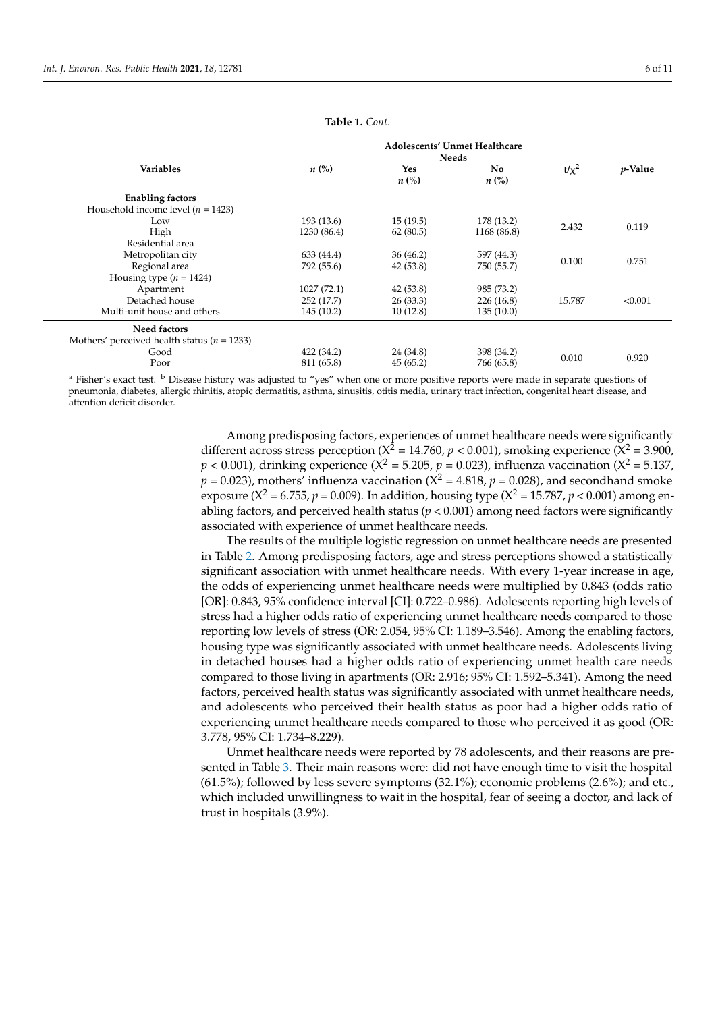| <b>Variables</b>                                | $n\left(\%\right)$ | <b>Yes</b><br>$n\left(\%\right)$ | No.<br>$n\ (\%)$ | $t/x^2$ | <i>p</i> -Value |
|-------------------------------------------------|--------------------|----------------------------------|------------------|---------|-----------------|
| <b>Enabling factors</b>                         |                    |                                  |                  |         |                 |
| Household income level ( $n = 1423$ )           |                    |                                  |                  |         |                 |
| Low                                             | 193 (13.6)         | 15(19.5)                         | 178 (13.2)       | 2.432   | 0.119           |
| High                                            | 1230 (86.4)        | 62(80.5)                         | 1168 (86.8)      |         |                 |
| Residential area                                |                    |                                  |                  |         |                 |
| Metropolitan city                               | 633 (44.4)         | 36(46.2)                         | 597 (44.3)       | 0.100   | 0.751           |
| Regional area                                   | 792 (55.6)         | 42(53.8)                         | 750 (55.7)       |         |                 |
| Housing type $(n = 1424)$                       |                    |                                  |                  |         |                 |
| Apartment                                       | 1027(72.1)         | 42(53.8)                         | 985 (73.2)       |         |                 |
| Detached house                                  | 252 (17.7)         | 26(33.3)                         | 226(16.8)        | 15.787  | < 0.001         |
| Multi-unit house and others                     | 145(10.2)          | 10(12.8)                         | 135(10.0)        |         |                 |
| Need factors                                    |                    |                                  |                  |         |                 |
| Mothers' perceived health status ( $n = 1233$ ) |                    |                                  |                  |         |                 |
| Good                                            | 422 (34.2)         | 24 (34.8)                        | 398 (34.2)       | 0.010   | 0.920           |
| Poor                                            | 811 (65.8)         | 45(65.2)                         | 766 (65.8)       |         |                 |

**Table 1.** *Cont.*

<sup>a</sup> Fisher's exact test. <sup>b</sup> Disease history was adjusted to "yes" when one or more positive reports were made in separate questions of pneumonia, diabetes, allergic rhinitis, atopic dermatitis, asthma, sinusitis, otitis media, urinary tract infection, congenital heart disease, and attention deficit disorder.

> Among predisposing factors, experiences of unmet healthcare needs were significantly different across stress perception ( $X^2 = 14.760$ ,  $p < 0.001$ ), smoking experience ( $X^2 = 3.900$ ,  $p < 0.001$ ), drinking experience (X<sup>2</sup> = 5.205,  $p$  = 0.023), influenza vaccination (X<sup>2</sup> = 5.137,  $p = 0.023$ , mothers' influenza vaccination ( $X^2 = 4.818$ ,  $p = 0.028$ ), and secondhand smoke exposure ( $X^2 = 6.755$ ,  $p = 0.009$ ). In addition, housing type ( $X^2 = 15.787$ ,  $p < 0.001$ ) among enabling factors, and perceived health status ( $p < 0.001$ ) among need factors were significantly associated with experience of unmet healthcare needs.

> The results of the multiple logistic regression on unmet healthcare needs are presented in Table [2.](#page-6-0) Among predisposing factors, age and stress perceptions showed a statistically significant association with unmet healthcare needs. With every 1-year increase in age, the odds of experiencing unmet healthcare needs were multiplied by 0.843 (odds ratio [OR]: 0.843, 95% confidence interval [CI]: 0.722–0.986). Adolescents reporting high levels of stress had a higher odds ratio of experiencing unmet healthcare needs compared to those reporting low levels of stress (OR: 2.054, 95% CI: 1.189–3.546). Among the enabling factors, housing type was significantly associated with unmet healthcare needs. Adolescents living in detached houses had a higher odds ratio of experiencing unmet health care needs compared to those living in apartments (OR: 2.916; 95% CI: 1.592–5.341). Among the need factors, perceived health status was significantly associated with unmet healthcare needs, and adolescents who perceived their health status as poor had a higher odds ratio of experiencing unmet healthcare needs compared to those who perceived it as good (OR: 3.778, 95% CI: 1.734–8.229).

> Unmet healthcare needs were reported by 78 adolescents, and their reasons are presented in Table [3.](#page-6-1) Their main reasons were: did not have enough time to visit the hospital (61.5%); followed by less severe symptoms (32.1%); economic problems (2.6%); and etc., which included unwillingness to wait in the hospital, fear of seeing a doctor, and lack of trust in hospitals (3.9%).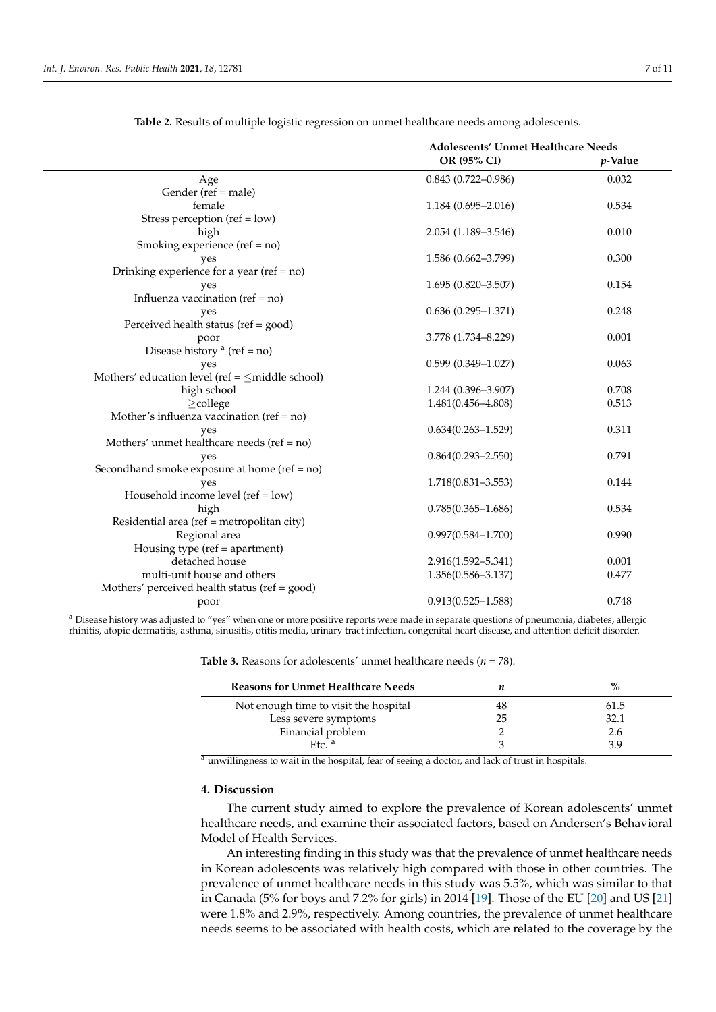<span id="page-6-0"></span>

|                                                       | Adolescents' Unmet Healthcare Needs |         |  |
|-------------------------------------------------------|-------------------------------------|---------|--|
|                                                       | OR (95% CI)                         | p-Value |  |
| Age                                                   | $0.843(0.722 - 0.986)$              | 0.032   |  |
| Gender (ref = male)                                   |                                     |         |  |
| female                                                | $1.184(0.695 - 2.016)$              | 0.534   |  |
| Stress perception (ref = $low$ )                      |                                     |         |  |
| high                                                  | $2.054(1.189-3.546)$                | 0.010   |  |
| Smoking experience ( $ref = no$ )                     |                                     |         |  |
| yes                                                   | $1.586(0.662 - 3.799)$              | 0.300   |  |
| Drinking experience for a year (ref = $no$ )          |                                     |         |  |
| yes                                                   | $1.695(0.820 - 3.507)$              | 0.154   |  |
| Influenza vaccination ( $ref = no$ )                  |                                     |         |  |
| yes                                                   | $0.636(0.295-1.371)$                | 0.248   |  |
| Perceived health status (ref = good)                  |                                     |         |  |
| poor                                                  | 3.778 (1.734-8.229)                 | 0.001   |  |
| Disease history <sup>a</sup> (ref = no)               |                                     |         |  |
| yes                                                   | $0.599(0.349 - 1.027)$              | 0.063   |  |
| Mothers' education level (ref = $\leq$ middle school) |                                     |         |  |
| high school                                           | $1.244(0.396 - 3.907)$              | 0.708   |  |
| $\geq$ college                                        | 1.481(0.456-4.808)                  | 0.513   |  |
| Mother's influenza vaccination ( $ref = no$ )         |                                     |         |  |
| yes                                                   | $0.634(0.263 - 1.529)$              | 0.311   |  |
| Mothers' unmet healthcare needs (ref = no)            |                                     |         |  |
| yes                                                   | $0.864(0.293 - 2.550)$              | 0.791   |  |
| Secondhand smoke exposure at home ( $ref = no$ )      |                                     |         |  |
| yes                                                   | $1.718(0.831 - 3.553)$              | 0.144   |  |
| Household income level (ref = low)                    |                                     |         |  |
| high                                                  | $0.785(0.365 - 1.686)$              | 0.534   |  |
| Residential area (ref = metropolitan city)            |                                     |         |  |
| Regional area                                         | $0.997(0.584 - 1.700)$              | 0.990   |  |
| Housing type (ref = apartment)                        |                                     |         |  |
| detached house                                        | 2.916(1.592-5.341)                  | 0.001   |  |
| multi-unit house and others                           | $1.356(0.586 - 3.137)$              | 0.477   |  |
| Mothers' perceived health status (ref = good)         |                                     |         |  |
| poor                                                  | $0.913(0.525 - 1.588)$              | 0.748   |  |

**Table 2.** Results of multiple logistic regression on unmet healthcare needs among adolescents.

<sup>a</sup> Disease history was adjusted to "yes" when one or more positive reports were made in separate questions of pneumonia, diabetes, allergic rhinitis, atopic dermatitis, asthma, sinusitis, otitis media, urinary tract infection, congenital heart disease, and attention deficit disorder.

| <b>Reasons for Unmet Healthcare Needs</b> |    | $\%$ |
|-------------------------------------------|----|------|
| Not enough time to visit the hospital     | 48 | 61.5 |
| Less severe symptoms                      | 25 | 32.1 |
| Financial problem                         |    | 2.6  |
| $E$ tc. <sup>a</sup>                      |    | 3 9  |

<span id="page-6-1"></span>**Table 3.** Reasons for adolescents' unmet healthcare needs (*n* = 78).

<sup>a</sup> unwillingness to wait in the hospital, fear of seeing a doctor, and lack of trust in hospitals.

# **4. Discussion**

The current study aimed to explore the prevalence of Korean adolescents' unmet healthcare needs, and examine their associated factors, based on Andersen's Behavioral Model of Health Services.

An interesting finding in this study was that the prevalence of unmet healthcare needs in Korean adolescents was relatively high compared with those in other countries. The prevalence of unmet healthcare needs in this study was 5.5%, which was similar to that in Canada (5% for boys and 7.2% for girls) in 2014 [\[19\]](#page-9-18). Those of the EU [\[20\]](#page-9-19) and US [\[21\]](#page-9-20) were 1.8% and 2.9%, respectively. Among countries, the prevalence of unmet healthcare needs seems to be associated with health costs, which are related to the coverage by the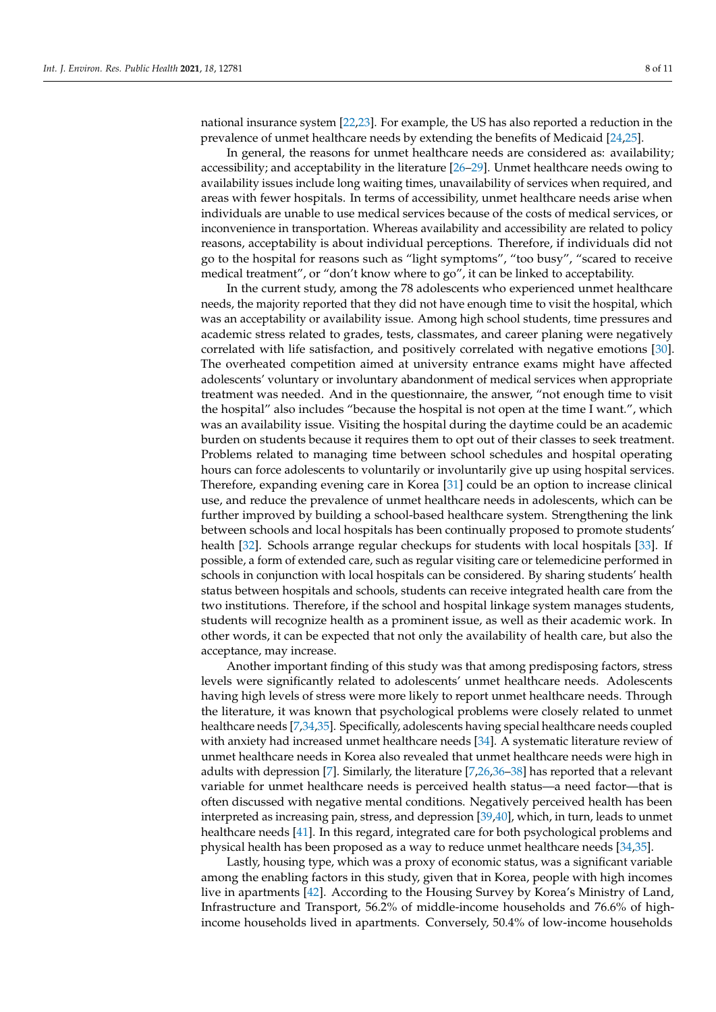national insurance system [\[22](#page-10-0)[,23\]](#page-10-1). For example, the US has also reported a reduction in the prevalence of unmet healthcare needs by extending the benefits of Medicaid [\[24](#page-10-2)[,25\]](#page-10-3).

In general, the reasons for unmet healthcare needs are considered as: availability; accessibility; and acceptability in the literature [\[26](#page-10-4)[–29\]](#page-10-5). Unmet healthcare needs owing to availability issues include long waiting times, unavailability of services when required, and areas with fewer hospitals. In terms of accessibility, unmet healthcare needs arise when individuals are unable to use medical services because of the costs of medical services, or inconvenience in transportation. Whereas availability and accessibility are related to policy reasons, acceptability is about individual perceptions. Therefore, if individuals did not go to the hospital for reasons such as "light symptoms", "too busy", "scared to receive medical treatment", or "don't know where to go", it can be linked to acceptability.

In the current study, among the 78 adolescents who experienced unmet healthcare needs, the majority reported that they did not have enough time to visit the hospital, which was an acceptability or availability issue. Among high school students, time pressures and academic stress related to grades, tests, classmates, and career planing were negatively correlated with life satisfaction, and positively correlated with negative emotions [\[30\]](#page-10-6). The overheated competition aimed at university entrance exams might have affected adolescents' voluntary or involuntary abandonment of medical services when appropriate treatment was needed. And in the questionnaire, the answer, "not enough time to visit the hospital" also includes "because the hospital is not open at the time I want.", which was an availability issue. Visiting the hospital during the daytime could be an academic burden on students because it requires them to opt out of their classes to seek treatment. Problems related to managing time between school schedules and hospital operating hours can force adolescents to voluntarily or involuntarily give up using hospital services. Therefore, expanding evening care in Korea [\[31\]](#page-10-7) could be an option to increase clinical use, and reduce the prevalence of unmet healthcare needs in adolescents, which can be further improved by building a school-based healthcare system. Strengthening the link between schools and local hospitals has been continually proposed to promote students' health [\[32\]](#page-10-8). Schools arrange regular checkups for students with local hospitals [\[33\]](#page-10-9). If possible, a form of extended care, such as regular visiting care or telemedicine performed in schools in conjunction with local hospitals can be considered. By sharing students' health status between hospitals and schools, students can receive integrated health care from the two institutions. Therefore, if the school and hospital linkage system manages students, students will recognize health as a prominent issue, as well as their academic work. In other words, it can be expected that not only the availability of health care, but also the acceptance, may increase.

Another important finding of this study was that among predisposing factors, stress levels were significantly related to adolescents' unmet healthcare needs. Adolescents having high levels of stress were more likely to report unmet healthcare needs. Through the literature, it was known that psychological problems were closely related to unmet healthcare needs [\[7,](#page-9-6)[34,](#page-10-10)[35\]](#page-10-11). Specifically, adolescents having special healthcare needs coupled with anxiety had increased unmet healthcare needs [\[34\]](#page-10-10). A systematic literature review of unmet healthcare needs in Korea also revealed that unmet healthcare needs were high in adults with depression [\[7\]](#page-9-6). Similarly, the literature [\[7](#page-9-6)[,26](#page-10-4)[,36–](#page-10-12)[38\]](#page-10-13) has reported that a relevant variable for unmet healthcare needs is perceived health status—a need factor—that is often discussed with negative mental conditions. Negatively perceived health has been interpreted as increasing pain, stress, and depression [\[39,](#page-10-14)[40\]](#page-10-15), which, in turn, leads to unmet healthcare needs [\[41\]](#page-10-16). In this regard, integrated care for both psychological problems and physical health has been proposed as a way to reduce unmet healthcare needs [\[34,](#page-10-10)[35\]](#page-10-11).

Lastly, housing type, which was a proxy of economic status, was a significant variable among the enabling factors in this study, given that in Korea, people with high incomes live in apartments [\[42\]](#page-10-17). According to the Housing Survey by Korea's Ministry of Land, Infrastructure and Transport, 56.2% of middle-income households and 76.6% of highincome households lived in apartments. Conversely, 50.4% of low-income households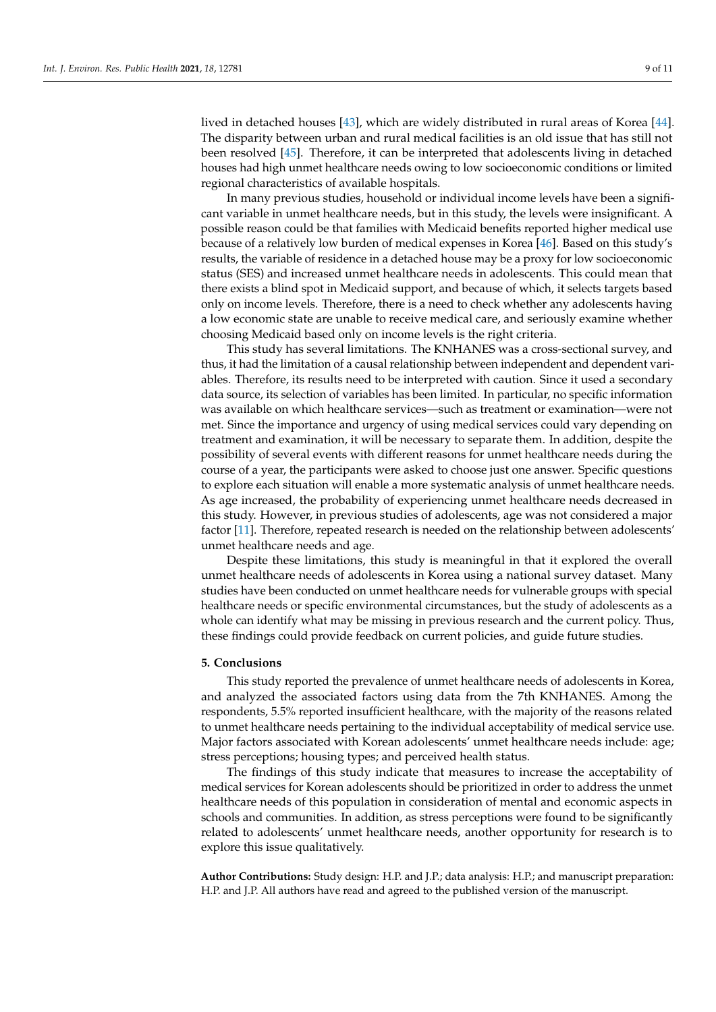lived in detached houses [\[43\]](#page-10-18), which are widely distributed in rural areas of Korea [\[44\]](#page-10-19). The disparity between urban and rural medical facilities is an old issue that has still not been resolved [\[45\]](#page-10-20). Therefore, it can be interpreted that adolescents living in detached houses had high unmet healthcare needs owing to low socioeconomic conditions or limited regional characteristics of available hospitals.

In many previous studies, household or individual income levels have been a significant variable in unmet healthcare needs, but in this study, the levels were insignificant. A possible reason could be that families with Medicaid benefits reported higher medical use because of a relatively low burden of medical expenses in Korea [\[46\]](#page-10-21). Based on this study's results, the variable of residence in a detached house may be a proxy for low socioeconomic status (SES) and increased unmet healthcare needs in adolescents. This could mean that there exists a blind spot in Medicaid support, and because of which, it selects targets based only on income levels. Therefore, there is a need to check whether any adolescents having a low economic state are unable to receive medical care, and seriously examine whether choosing Medicaid based only on income levels is the right criteria.

This study has several limitations. The KNHANES was a cross-sectional survey, and thus, it had the limitation of a causal relationship between independent and dependent variables. Therefore, its results need to be interpreted with caution. Since it used a secondary data source, its selection of variables has been limited. In particular, no specific information was available on which healthcare services—such as treatment or examination—were not met. Since the importance and urgency of using medical services could vary depending on treatment and examination, it will be necessary to separate them. In addition, despite the possibility of several events with different reasons for unmet healthcare needs during the course of a year, the participants were asked to choose just one answer. Specific questions to explore each situation will enable a more systematic analysis of unmet healthcare needs. As age increased, the probability of experiencing unmet healthcare needs decreased in this study. However, in previous studies of adolescents, age was not considered a major factor [\[11\]](#page-9-10). Therefore, repeated research is needed on the relationship between adolescents' unmet healthcare needs and age.

Despite these limitations, this study is meaningful in that it explored the overall unmet healthcare needs of adolescents in Korea using a national survey dataset. Many studies have been conducted on unmet healthcare needs for vulnerable groups with special healthcare needs or specific environmental circumstances, but the study of adolescents as a whole can identify what may be missing in previous research and the current policy. Thus, these findings could provide feedback on current policies, and guide future studies.

# **5. Conclusions**

This study reported the prevalence of unmet healthcare needs of adolescents in Korea, and analyzed the associated factors using data from the 7th KNHANES. Among the respondents, 5.5% reported insufficient healthcare, with the majority of the reasons related to unmet healthcare needs pertaining to the individual acceptability of medical service use. Major factors associated with Korean adolescents' unmet healthcare needs include: age; stress perceptions; housing types; and perceived health status.

The findings of this study indicate that measures to increase the acceptability of medical services for Korean adolescents should be prioritized in order to address the unmet healthcare needs of this population in consideration of mental and economic aspects in schools and communities. In addition, as stress perceptions were found to be significantly related to adolescents' unmet healthcare needs, another opportunity for research is to explore this issue qualitatively.

**Author Contributions:** Study design: H.P. and J.P.; data analysis: H.P.; and manuscript preparation: H.P. and J.P. All authors have read and agreed to the published version of the manuscript.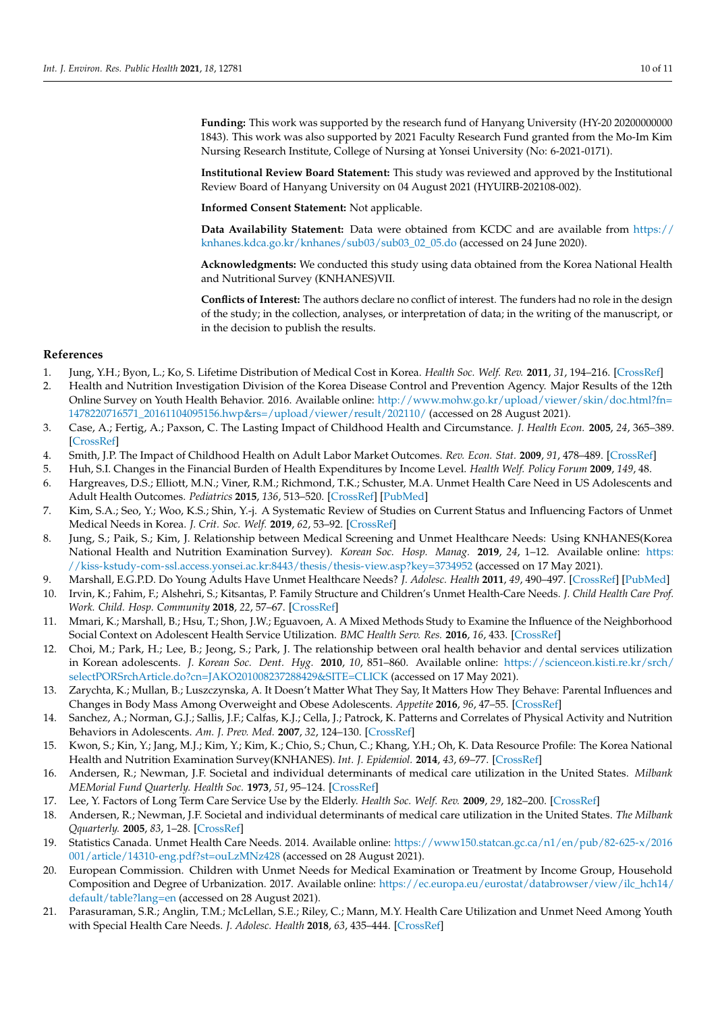**Funding:** This work was supported by the research fund of Hanyang University (HY-20 20200000000 1843). This work was also supported by 2021 Faculty Research Fund granted from the Mo-Im Kim Nursing Research Institute, College of Nursing at Yonsei University (No: 6-2021-0171).

**Institutional Review Board Statement:** This study was reviewed and approved by the Institutional Review Board of Hanyang University on 04 August 2021 (HYUIRB-202108-002).

**Informed Consent Statement:** Not applicable.

**Data Availability Statement:** Data were obtained from KCDC and are available from [https://](https://knhanes.kdca.go.kr/knhanes/sub03/sub03_02_05.do) [knhanes.kdca.go.kr/knhanes/sub03/sub03\\_02\\_05.do](https://knhanes.kdca.go.kr/knhanes/sub03/sub03_02_05.do) (accessed on 24 June 2020).

**Acknowledgments:** We conducted this study using data obtained from the Korea National Health and Nutritional Survey (KNHANES)VII.

**Conflicts of Interest:** The authors declare no conflict of interest. The funders had no role in the design of the study; in the collection, analyses, or interpretation of data; in the writing of the manuscript, or in the decision to publish the results.

# **References**

- <span id="page-9-0"></span>1. Jung, Y.H.; Byon, L.; Ko, S. Lifetime Distribution of Medical Cost in Korea. *Health Soc. Welf. Rev.* **2011**, *31*, 194–216. [\[CrossRef\]](http://doi.org/10.15709/hswr.2011.31.1.194)
- <span id="page-9-1"></span>2. Health and Nutrition Investigation Division of the Korea Disease Control and Prevention Agency. Major Results of the 12th Online Survey on Youth Health Behavior. 2016. Available online: [http://www.mohw.go.kr/upload/viewer/skin/doc.html?fn=](http://www.mohw.go.kr/upload/viewer/skin/doc.html?fn=1478220716571_20161104095156.hwp&rs=/upload/viewer/result/202110/) [1478220716571\\_20161104095156.hwp&rs=/upload/viewer/result/202110/](http://www.mohw.go.kr/upload/viewer/skin/doc.html?fn=1478220716571_20161104095156.hwp&rs=/upload/viewer/result/202110/) (accessed on 28 August 2021).
- <span id="page-9-2"></span>3. Case, A.; Fertig, A.; Paxson, C. The Lasting Impact of Childhood Health and Circumstance. *J. Health Econ.* **2005**, *24*, 365–389. [\[CrossRef\]](http://doi.org/10.1016/j.jhealeco.2004.09.008)
- <span id="page-9-3"></span>4. Smith, J.P. The Impact of Childhood Health on Adult Labor Market Outcomes. *Rev. Econ. Stat.* **2009**, *91*, 478–489. [\[CrossRef\]](http://doi.org/10.1162/rest.91.3.478)
- <span id="page-9-4"></span>5. Huh, S.I. Changes in the Financial Burden of Health Expenditures by Income Level. *Health Welf. Policy Forum* **2009**, *149*, 48.
- <span id="page-9-5"></span>6. Hargreaves, D.S.; Elliott, M.N.; Viner, R.M.; Richmond, T.K.; Schuster, M.A. Unmet Health Care Need in US Adolescents and Adult Health Outcomes. *Pediatrics* **2015**, *136*, 513–520. [\[CrossRef\]](http://doi.org/10.1542/peds.2015-0237) [\[PubMed\]](http://www.ncbi.nlm.nih.gov/pubmed/26283778)
- <span id="page-9-6"></span>7. Kim, S.A.; Seo, Y.; Woo, K.S.; Shin, Y.-j. A Systematic Review of Studies on Current Status and Influencing Factors of Unmet Medical Needs in Korea. *J. Crit. Soc. Welf.* **2019**, *62*, 53–92. [\[CrossRef\]](http://doi.org/10.47042/ACSW.2019.02.62.53)
- <span id="page-9-7"></span>8. Jung, S.; Paik, S.; Kim, J. Relationship between Medical Screening and Unmet Healthcare Needs: Using KNHANES(Korea National Health and Nutrition Examination Survey). *Korean Soc. Hosp. Manag.* **2019**, *24*, 1–12. Available online: [https:](https://kiss-kstudy-com-ssl.access.yonsei.ac.kr:8443/thesis/thesis-view.asp?key=3734952) [//kiss-kstudy-com-ssl.access.yonsei.ac.kr:8443/thesis/thesis-view.asp?key=3734952](https://kiss-kstudy-com-ssl.access.yonsei.ac.kr:8443/thesis/thesis-view.asp?key=3734952) (accessed on 17 May 2021).
- <span id="page-9-8"></span>9. Marshall, E.G.P.D. Do Young Adults Have Unmet Healthcare Needs? *J. Adolesc. Health* **2011**, *49*, 490–497. [\[CrossRef\]](http://doi.org/10.1016/j.jadohealth.2011.03.005) [\[PubMed\]](http://www.ncbi.nlm.nih.gov/pubmed/22018563)
- <span id="page-9-9"></span>10. Irvin, K.; Fahim, F.; Alshehri, S.; Kitsantas, P. Family Structure and Children's Unmet Health-Care Needs. *J. Child Health Care Prof. Work. Child. Hosp. Community* **2018**, *22*, 57–67. [\[CrossRef\]](http://doi.org/10.1177/1367493517748372)
- <span id="page-9-10"></span>11. Mmari, K.; Marshall, B.; Hsu, T.; Shon, J.W.; Eguavoen, A. A Mixed Methods Study to Examine the Influence of the Neighborhood Social Context on Adolescent Health Service Utilization. *BMC Health Serv. Res.* **2016**, *16*, 433. [\[CrossRef\]](http://doi.org/10.1186/s12913-016-1597-x)
- <span id="page-9-11"></span>12. Choi, M.; Park, H.; Lee, B.; Jeong, S.; Park, J. The relationship between oral health behavior and dental services utilization in Korean adolescents. *J. Korean Soc. Dent. Hyg.* **2010**, *10*, 851–860. Available online: [https://scienceon.kisti.re.kr/srch/](https://scienceon.kisti.re.kr/srch/selectPORSrchArticle.do?cn=JAKO201008237288429&SITE=CLICK) [selectPORSrchArticle.do?cn=JAKO201008237288429&SITE=CLICK](https://scienceon.kisti.re.kr/srch/selectPORSrchArticle.do?cn=JAKO201008237288429&SITE=CLICK) (accessed on 17 May 2021).
- <span id="page-9-12"></span>13. Zarychta, K.; Mullan, B.; Luszczynska, A. It Doesn't Matter What They Say, It Matters How They Behave: Parental Influences and Changes in Body Mass Among Overweight and Obese Adolescents. *Appetite* **2016**, *96*, 47–55. [\[CrossRef\]](http://doi.org/10.1016/j.appet.2015.08.040)
- <span id="page-9-13"></span>14. Sanchez, A.; Norman, G.J.; Sallis, J.F.; Calfas, K.J.; Cella, J.; Patrock, K. Patterns and Correlates of Physical Activity and Nutrition Behaviors in Adolescents. *Am. J. Prev. Med.* **2007**, *32*, 124–130. [\[CrossRef\]](http://doi.org/10.1016/j.amepre.2006.10.012)
- <span id="page-9-14"></span>15. Kwon, S.; Kin, Y.; Jang, M.J.; Kim, Y.; Kim, K.; Chio, S.; Chun, C.; Khang, Y.H.; Oh, K. Data Resource Profile: The Korea National Health and Nutrition Examination Survey(KNHANES). *Int. J. Epidemiol.* **2014**, *43*, 69–77. [\[CrossRef\]](http://doi.org/10.1093/ije/dyt228)
- <span id="page-9-15"></span>16. Andersen, R.; Newman, J.F. Societal and individual determinants of medical care utilization in the United States. *Milbank MEMorial Fund Quarterly. Health Soc.* **1973**, *51*, 95–124. [\[CrossRef\]](http://doi.org/10.2307/3349613)
- <span id="page-9-16"></span>17. Lee, Y. Factors of Long Term Care Service Use by the Elderly. *Health Soc. Welf. Rev.* **2009**, *29*, 182–200. [\[CrossRef\]](http://doi.org/10.15709/hswr.2009.29.1.182)
- <span id="page-9-17"></span>18. Andersen, R.; Newman, J.F. Societal and individual determinants of medical care utilization in the United States. *The Milbank Qquarterly.* **2005**, *83*, 1–28. [\[CrossRef\]](http://doi.org/10.1111/j.1468-0009.2005.00428.x)
- <span id="page-9-18"></span>19. Statistics Canada. Unmet Health Care Needs. 2014. Available online: [https://www150.statcan.gc.ca/n1/en/pub/82-625-x/2016](https://www150.statcan.gc.ca/n1/en/pub/82-625-x/2016001/article/14310-eng.pdf?st=ouLzMNz428) [001/article/14310-eng.pdf?st=ouLzMNz428](https://www150.statcan.gc.ca/n1/en/pub/82-625-x/2016001/article/14310-eng.pdf?st=ouLzMNz428) (accessed on 28 August 2021).
- <span id="page-9-19"></span>20. European Commission. Children with Unmet Needs for Medical Examination or Treatment by Income Group, Household Composition and Degree of Urbanization. 2017. Available online: [https://ec.europa.eu/eurostat/databrowser/view/ilc\\_hch14/](https://ec.europa.eu/eurostat/databrowser/view/ilc_hch14/default/table?lang=en) [default/table?lang=en](https://ec.europa.eu/eurostat/databrowser/view/ilc_hch14/default/table?lang=en) (accessed on 28 August 2021).
- <span id="page-9-20"></span>21. Parasuraman, S.R.; Anglin, T.M.; McLellan, S.E.; Riley, C.; Mann, M.Y. Health Care Utilization and Unmet Need Among Youth with Special Health Care Needs. *J. Adolesc. Health* **2018**, *63*, 435–444. [\[CrossRef\]](http://doi.org/10.1016/j.jadohealth.2018.03.020)